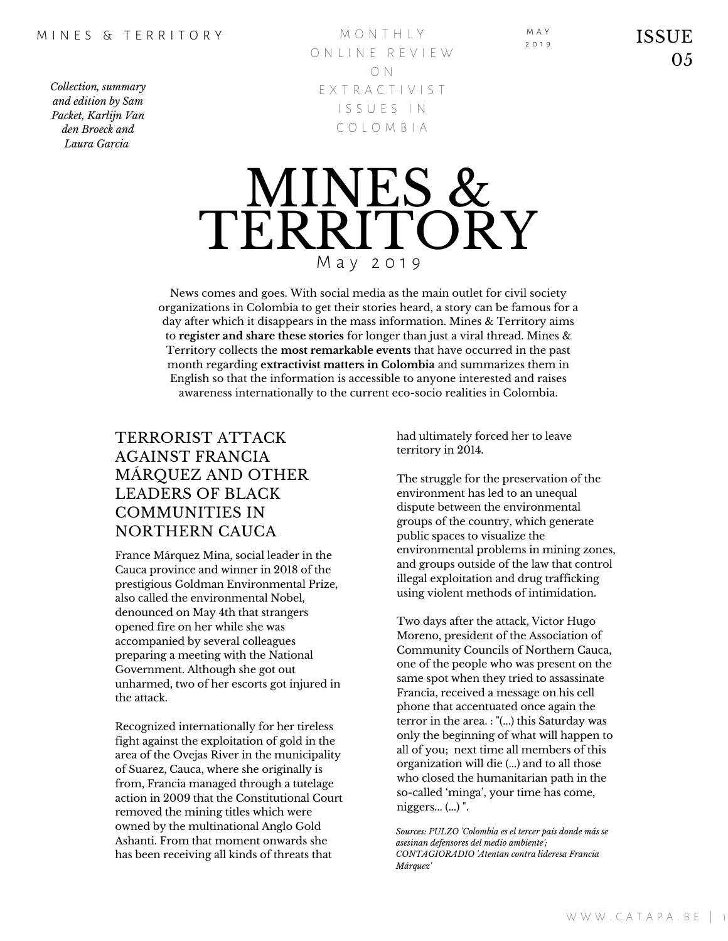*Collection, summary and edition by Sam Packet, Karlijn Van den Broeck and Laura Garcia*

M O N T H L Y O N L I N E R E V I E W O N E X T R A C T I V I S T I S S U E S I N C O L O M B I A



News comes and goes. With social media as the main outlet for civil society organizations in Colombia to get their stories heard, a story can be famous for a day after which it disappears in the mass information. Mines & Territory aims to **register and share these stories** for longer than just a viral thread. Mines & Territory collects the **most remarkable events** that have occurred in the past month regarding **extractivist matters in Colombia** and summarizes them in English so that the information is accessible to anyone interested and raises awareness internationally to the current eco-socio realities in Colombia.

# TERRORIST ATTACK AGAINST FRANCIA MÁRQUEZ AND OTHER LEADERS OF BLACK COMMUNITIES IN NORTHERN CAUCA

France Márquez Mina, social leader in the Cauca province and winner in 2018 of the prestigious Goldman Environmental Prize, also called the environmental Nobel, denounced on May 4th that strangers opened fire on her while she was accompanied by several colleagues preparing a meeting with the National Government. Although she got out unharmed, two of her escorts got injured in the attack.

Recognized internationally for her tireless fight against the exploitation of gold in the area of the Ovejas River in the municipality of Suarez, Cauca, where she originally is from, Francia managed through a tutelage action in 2009 that the Constitutional Court removed the mining titles which were owned by the multinational Anglo Gold Ashanti. From that moment onwards she has been receiving all kinds of threats that

had ultimately forced her to leave territory in 2014.

The struggle for the preservation of the environment has led to an unequal dispute between the environmental groups of the country, which generate public spaces to visualize the environmental problems in mining zones, and groups outside of the law that control illegal exploitation and drug trafficking using violent methods of intimidation.

Two days after the attack, Victor Hugo Moreno, president of the Association of Community Councils of Northern Cauca, one of the people who was present on the same spot when they tried to assassinate Francia, received a message on his cell phone that accentuated once again the terror in the area. : "(...) this Saturday was only the beginning of what will happen to all of you; next time all members of this organization will die (...) and to all those who closed the humanitarian path in the so-called 'minga', your time has come, niggers... (...) ".

*Sources: PULZO 'Colombia es el tercer país donde más se asesinan defensores del medio ambiente'; CONTAGIORADIO 'Atentan contra lideresa Francia Márquez'*

M A Y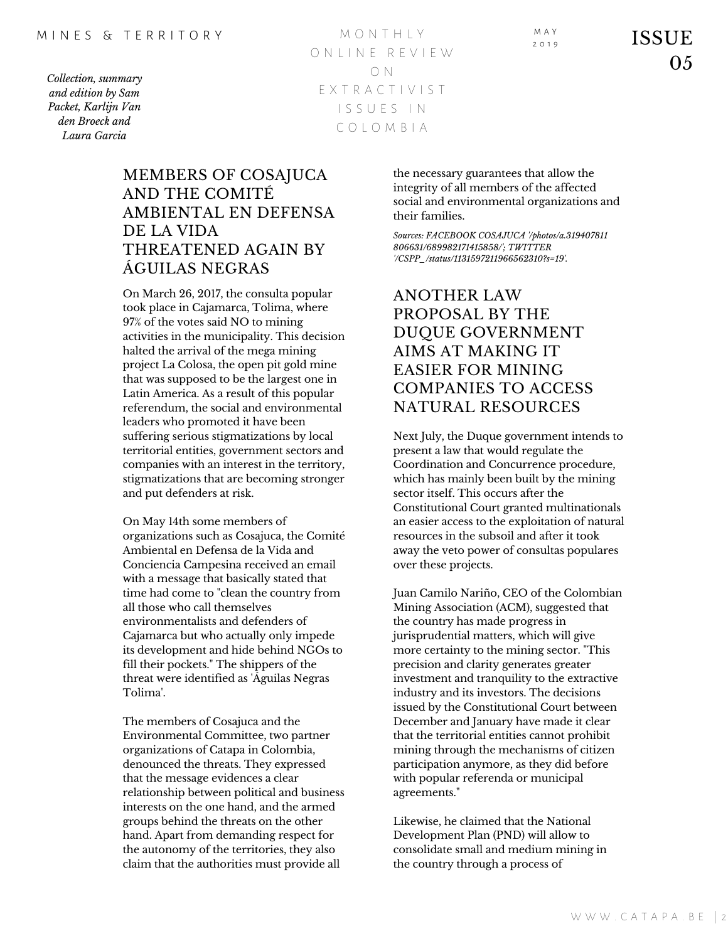Likewise, he claimed that the National Development Plan (PND) will allow to consolidate small and medium mining in the country through a process of

*Collection, summary and edition by Sam Packet, Karlijn Van den Broeck and Laura Garcia*

M O N T H L Y O N L I N E R E V I E W O N E X T R A C T I V I S T I S S U E S I N C O L O M B I A

### MEMBERS OF COSAJUCA AND THE COMITÉ AMBIENTAL EN DEFENSA DE LA VIDA THREATENED AGAIN BY ÁGUILAS NEGRAS

On March 26, 2017, the consulta popular took place in Cajamarca, Tolima, where 97% of the votes said NO to mining activities in the municipality. This decision halted the arrival of the mega mining project La Colosa, the open pit gold mine that was supposed to be the largest one in Latin America. As a result of this popular referendum, the social and environmental leaders who promoted it have been suffering serious stigmatizations by local territorial entities, government sectors and companies with an interest in the territory, stigmatizations that are becoming stronger and put defenders at risk.

On May 14th some members of organizations such as Cosajuca, the Comité Ambiental en Defensa de la Vida and Conciencia Campesina received an email with a message that basically stated that time had come to "clean the country from all those who call themselves environmentalists and defenders of Cajamarca but who actually only impede its development and hide behind NGOs to fill their pockets." The shippers of the threat were identified as 'Águilas Negras Tolima'.

The members of Cosajuca and the Environmental Committee, two partner organizations of Catapa in Colombia, denounced the threats. They expressed that the message evidences a clear relationship between political and business interests on the one hand, and the armed groups behind the threats on the other hand. Apart from demanding respect for the autonomy of the territories, they also claim that the authorities must provide all

the necessary guarantees that allow the integrity of all members of the affected social and environmental organizations and their families.

*Sources: FACEBOOK COSAJUCA '/photos/a.319407811 806631/689982171415858/'; TWITTER '/CSPP\_/status/1131597211966562310?s=19'.*

# ANOTHER LAW PROPOSAL BY THE DUQUE GOVERNMENT AIMS AT MAKING IT EASIER FOR MINING COMPANIES TO ACCESS NATURAL RESOURCES

Next July, the Duque government intends to present a law that would regulate the Coordination and Concurrence procedure, which has mainly been built by the mining sector itself. This occurs after the Constitutional Court granted multinationals an easier access to the exploitation of natural resources in the subsoil and after it took away the veto power of consultas populares over these projects.

Juan Camilo Nariño, CEO of the Colombian Mining Association (ACM), suggested that the country has made progress in jurisprudential matters, which will give more certainty to the mining sector. "This precision and clarity generates greater investment and tranquility to the extractive industry and its investors. The decisions issued by the Constitutional Court between December and January have made it clear that the territorial entities cannot prohibit mining through the mechanisms of citizen participation anymore, as they did before with popular referenda or municipal agreements."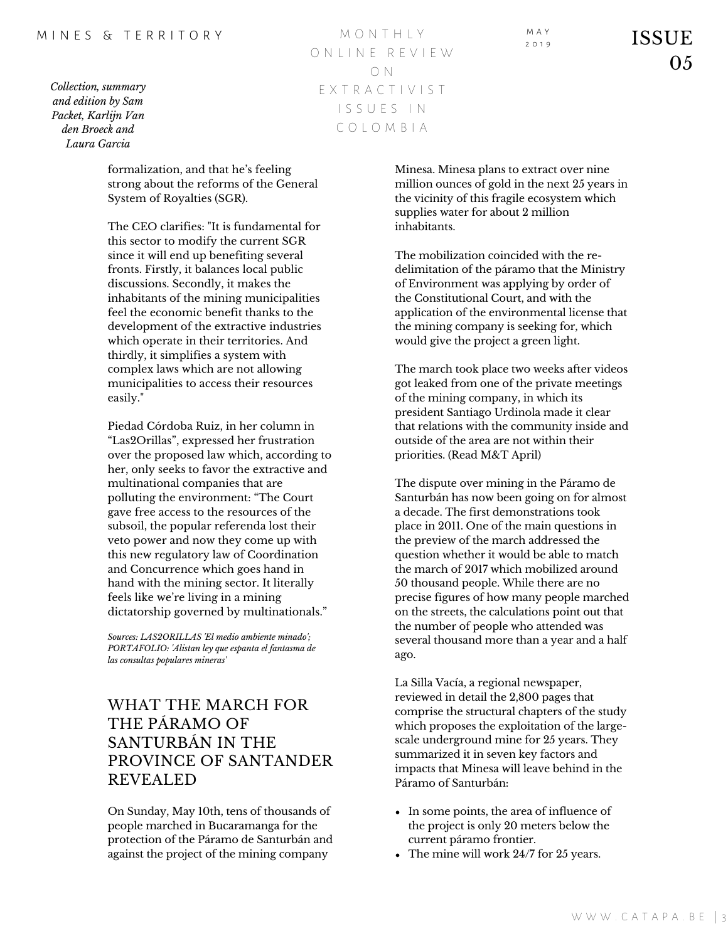### M I N F S & T F R R I T O R Y

*Collection, summary and edition by Sam Packet, Karlijn Van den Broeck and Laura Garcia*

M O N T H L Y O N L I N E R E V I E W O N E X T R A C T I V I S T I S S U E S I N C O L O M B I A

formalization, and that he's feeling strong about the reforms of the General System of Royalties (SGR).

The CEO clarifies: "It is fundamental for this sector to modify the current SGR since it will end up benefiting several fronts. Firstly, it balances local public discussions. Secondly, it makes the inhabitants of the mining municipalities feel the economic benefit thanks to the development of the extractive industries which operate in their territories. And thirdly, it simplifies a system with complex laws which are not allowing municipalities to access their resources easily."

Piedad Córdoba Ruiz, in her column in "Las2Orillas", expressed her frustration over the proposed law which, according to her, only seeks to favor the extractive and multinational companies that are polluting the environment: "The Court gave free access to the resources of the subsoil, the popular referenda lost their veto power and now they come up with this new regulatory law of Coordination and Concurrence which goes hand in hand with the mining sector. It literally feels like we're living in a mining dictatorship governed by multinationals."

*Sources: LAS2ORILLAS 'El medio ambiente minado'; PORTAFOLIO: 'Alistan ley que espanta el fantasma de las consultas populares mineras'*

## WHAT THE MARCH FOR THE PÁRAMO OF SANTURBÁN IN THE PROVINCE OF SANTANDER REVEALED

On Sunday, May 10th, tens of thousands of people marched in Bucaramanga for the protection of the Páramo de Santurbán and against the project of the mining company

Minesa. Minesa plans to extract over nine million ounces of gold in the next 25 years in the vicinity of this fragile ecosystem which supplies water for about 2 million inhabitants.

M A Y

The mobilization coincided with the redelimitation of the páramo that the Ministry of Environment was applying by order of the Constitutional Court, and with the application of the environmental license that the mining company is seeking for, which would give the project a green light.

The march took place two weeks after videos got leaked from one of the private meetings of the mining company, in which its president Santiago Urdinola made it clear that relations with the community inside and outside of the area are not within their priorities. (Read M&T April)

The dispute over mining in the Páramo de Santurbán has now been going on for almost a decade. The first demonstrations took place in 2011. One of the main questions in the preview of the march addressed the question whether it would be able to match the march of 2017 which mobilized around 50 thousand people. While there are no precise figures of how many people marched on the streets, the calculations point out that the number of people who attended was several thousand more than a year and a half ago.

La Silla Vacía, a regional newspaper, reviewed in detail the 2,800 pages that comprise the structural chapters of the study which proposes the exploitation of the largescale underground mine for 25 years. They summarized it in seven key factors and impacts that Minesa will leave behind in the Páramo of Santurbán:

- In some points, the area of influence of the project is only 20 meters below the current páramo frontier.
- The mine will work 24/7 for 25 years.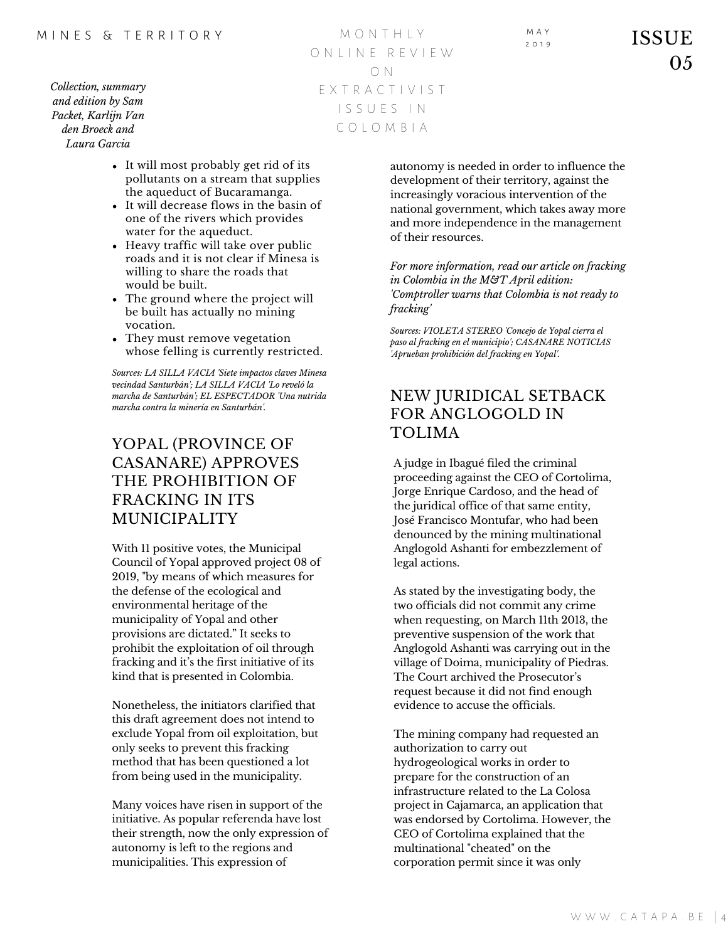*Collection, summary and edition by Sam Packet, Karlijn Van den Broeck and Laura Garcia*

M O N T H L Y O N L I N E R E V I E W O N E X T R A C T I V I S T I S S U E S I N C O L O M B I A

M A Y

- It will most probably get rid of its pollutants on a stream that supplies the aqueduct of Bucaramanga.
- It will decrease flows in the basin of one of the rivers which provides water for the aqueduct.
- Heavy traffic will take over public roads and it is not clear if Minesa is willing to share the roads that would be built.
- The ground where the project will be built has actually no mining vocation.
- They must remove vegetation whose felling is currently restricted.

*Sources: LA SILLA VACIA 'Siete impactos claves Minesa vecindad Santurbán'; LA SILLA VACIA 'Lo reveló la marcha de Santurbán'; EL ESPECTADOR 'Una nutrida marcha contra la minería en Santurbán'.*

# YOPAL (PROVINCE OF CASANARE) APPROVES THE PROHIBITION OF FRACKING IN ITS MUNICIPALITY

With 11 positive votes, the Municipal Council of Yopal approved project 08 of 2019, "by means of which measures for the defense of the ecological and environmental heritage of the municipality of Yopal and other provisions are dictated." It seeks to prohibit the exploitation of oil through fracking and it's the first initiative of its kind that is presented in Colombia.

Nonetheless, the initiators clarified that this draft agreement does not intend to exclude Yopal from oil exploitation, but only seeks to prevent this fracking method that has been questioned a lot from being used in the municipality.

Many voices have risen in support of the initiative. As popular referenda have lost their strength, now the only expression of autonomy is left to the regions and municipalities. This expression of

autonomy is needed in order to influence the development of their territory, against the increasingly voracious intervention of the national government, which takes away more and more independence in the management of their resources.

*For more information, read our article on fracking in Colombia in the M&T April edition: 'Comptroller warns that Colombia is not ready to fracking'*

*Sources: VIOLETA STEREO 'Concejo de Yopal cierra el paso al fracking en el municipio'; CASANARE NOTICIAS 'Aprueban prohibición del fracking en Yopal'.*

## NEW JURIDICAL SETBACK FOR ANGLOGOLD IN TOLIMA

A judge in Ibagué filed the criminal proceeding against the CEO of Cortolima, Jorge Enrique Cardoso, and the head of the juridical office of that same entity, José Francisco Montufar, who had been denounced by the mining multinational Anglogold Ashanti for embezzlement of legal actions.

As stated by the investigating body, the two officials did not commit any crime when requesting, on March 11th 2013, the preventive suspension of the work that Anglogold Ashanti was carrying out in the village of Doima, municipality of Piedras. The Court archived the Prosecutor's request because it did not find enough evidence to accuse the officials.

The mining company had requested an authorization to carry out hydrogeological works in order to prepare for the construction of an infrastructure related to the La Colosa project in Cajamarca, an application that was endorsed by Cortolima. However, the CEO of Cortolima explained that the multinational "cheated" on the corporation permit since it was only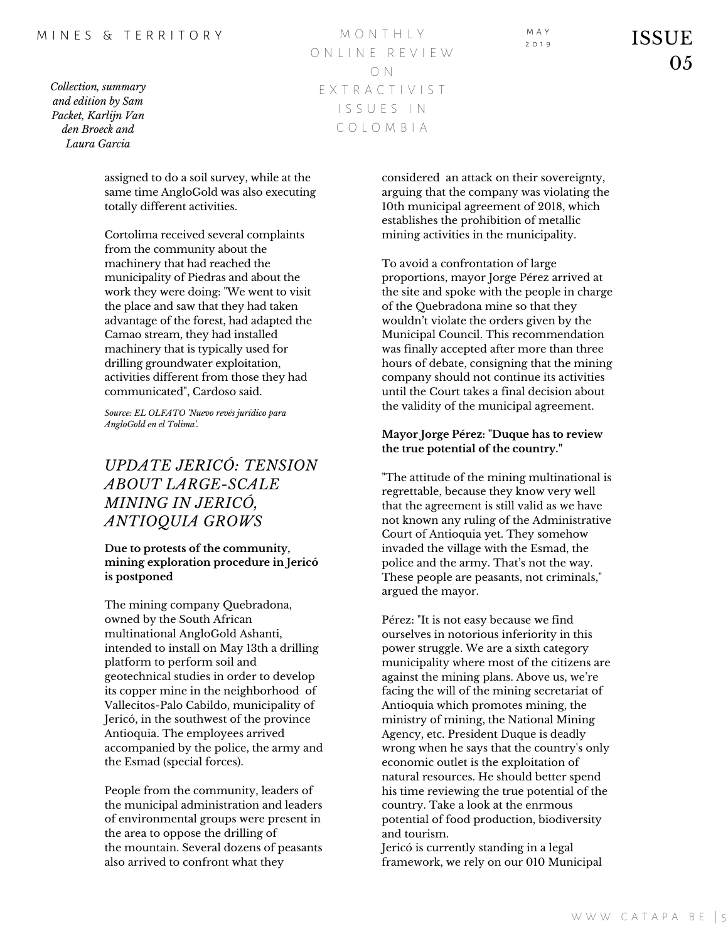#### M I N E S & T E R R I T O R Y

*Collection, summary and edition by Sam Packet, Karlijn Van den Broeck and Laura Garcia*

M O N T H L Y O N L I N E R E V I E W O N E X T R A C T I V I S T I S S U E S I N C O L O M B I A

assigned to do a soil survey, while at the same time AngloGold was also executing totally different activities.

Cortolima received several complaints from the community about the machinery that had reached the municipality of Piedras and about the work they were doing: "We went to visit the place and saw that they had taken advantage of the forest, had adapted the Camao stream, they had installed machinery that is typically used for drilling groundwater exploitation, activities different from those they had communicated", Cardoso said.

*Source: EL OLFATO 'Nuevo revés jurídico para AngloGold en el Tolima'.*

# *UPDATE JERICÓ: TENSION ABOUT LARGE-SCALE MINING IN JERICÓ, ANTIOQUIA GROWS*

### **Due to protests of the community, mining exploration procedure in Jericó is postponed**

The mining company Quebradona, owned by the South African multinational AngloGold Ashanti, intended to install on May 13th a drilling platform to perform soil and geotechnical studies in order to develop its copper mine in the neighborhood of Vallecitos-Palo Cabildo, municipality of Jericó, in the southwest of the province Antioquia. The employees arrived accompanied by the police, the army and the Esmad (special forces).

People from the community, leaders of the municipal administration and leaders of environmental groups were present in the area to oppose the drilling of the mountain. Several dozens of peasants also arrived to confront what they

considered an attack on their sovereignty, arguing that the company was violating the 10th municipal agreement of 2018, which establishes the prohibition of metallic mining activities in the municipality.

M A Y

To avoid a confrontation of large proportions, mayor Jorge Pérez arrived at the site and spoke with the people in charge of the Quebradona mine so that they wouldn't violate the orders given by the Municipal Council. This recommendation was finally accepted after more than three hours of debate, consigning that the mining company should not continue its activities until the Court takes a final decision about the validity of the municipal agreement.

### **Mayor Jorge Pérez: "Duque has to review the true potential of the country."**

"The attitude of the mining multinational is regrettable, because they know very well that the agreement is still valid as we have not known any ruling of the Administrative Court of Antioquia yet. They somehow invaded the village with the Esmad, the police and the army. That's not the way. These people are peasants, not criminals," argued the mayor.

Pérez: "It is not easy because we find ourselves in notorious inferiority in this power struggle. We are a sixth category municipality where most of the citizens are against the mining plans. Above us, we're facing the will of the mining secretariat of Antioquia which promotes mining, the ministry of mining, the National Mining Agency, etc. President Duque is deadly wrong when he says that the country's only economic outlet is the exploitation of natural resources. He should better spend his time reviewing the true potential of the country. Take a look at the enrmous potential of food production, biodiversity and tourism.

Jericó is currently standing in a legal framework, we rely on our 010 Municipal